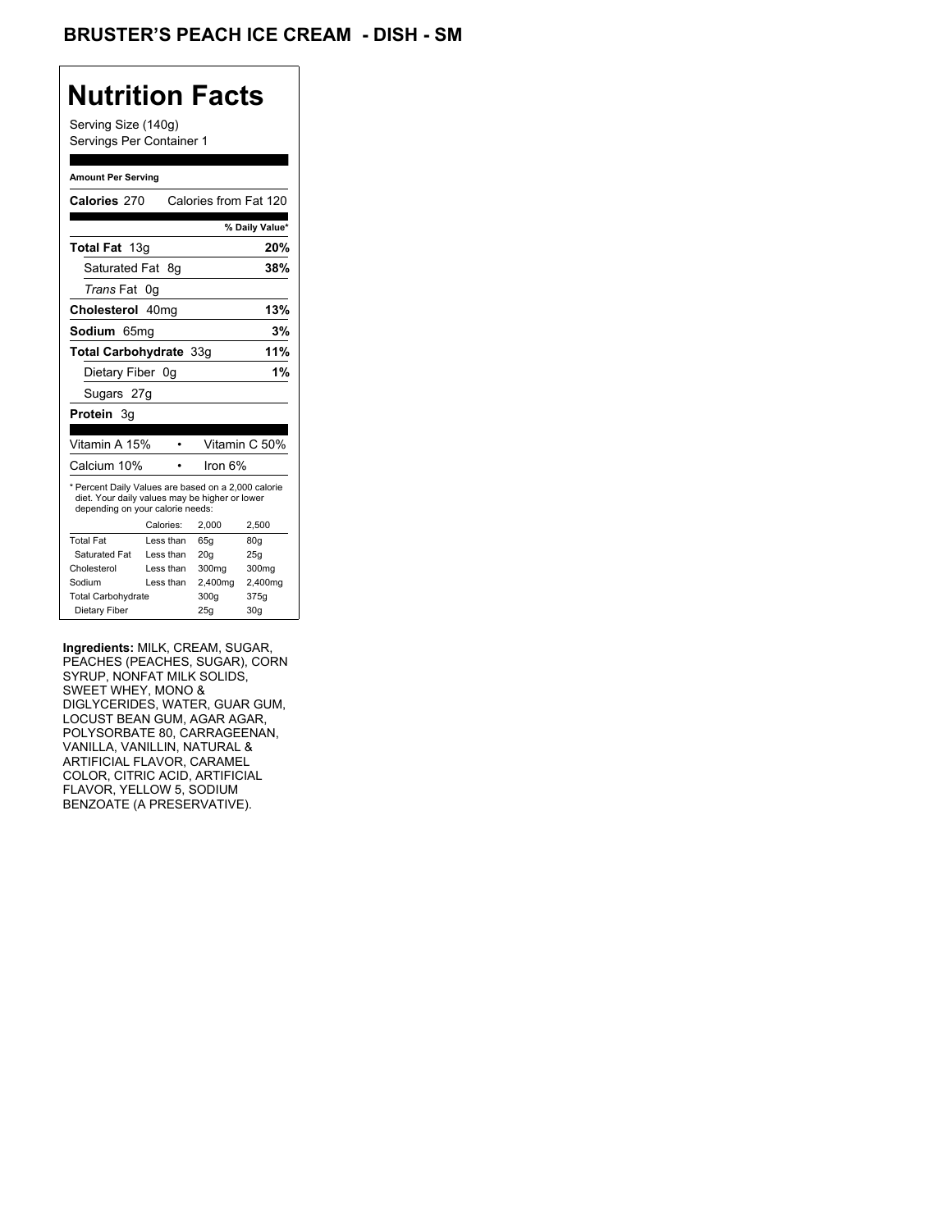## **Nutrition Facts**

Serving Size (140g) Servings Per Container 1

#### **Amount Per Serving**

| Calories 270                                                                                                                              |           | Calories from Fat 120 |                 |
|-------------------------------------------------------------------------------------------------------------------------------------------|-----------|-----------------------|-----------------|
|                                                                                                                                           |           |                       | % Daily Value*  |
| Total Fat 13g                                                                                                                             |           |                       | 20%             |
| Saturated Fat                                                                                                                             | - 8a      |                       | 38%             |
| <i>Trans</i> Fat                                                                                                                          | 0g        |                       |                 |
| Cholesterol 40mg                                                                                                                          |           |                       | 13%             |
| Sodium 65mq                                                                                                                               |           |                       | 3%              |
| Total Carbohydrate 33g                                                                                                                    |           |                       | 11%             |
| Dietary Fiber 0g                                                                                                                          |           |                       | 1%              |
| Sugars 27g                                                                                                                                |           |                       |                 |
| <b>Protein</b> 3q                                                                                                                         |           |                       |                 |
|                                                                                                                                           |           |                       |                 |
| Vitamin A 15%                                                                                                                             |           |                       | Vitamin C 50%   |
| Calcium 10%                                                                                                                               |           | lron 6%               |                 |
| * Percent Daily Values are based on a 2,000 calorie<br>diet. Your daily values may be higher or lower<br>depending on your calorie needs: |           |                       |                 |
|                                                                                                                                           | Calories: | 2,000                 | 2,500           |
| <b>Total Fat</b>                                                                                                                          | Less than | 65q                   | 80q             |
| Saturated Fat                                                                                                                             | Less than | 20q                   | 25g             |
| Cholesterol                                                                                                                               | Less than | 300mg                 | 300mg           |
| Sodium                                                                                                                                    | Less than | 2,400mg               | 2,400mg         |
| <b>Total Carbohydrate</b>                                                                                                                 |           | 300g                  | 375g            |
| Dietary Fiber                                                                                                                             |           | 25q                   | 30 <sub>g</sub> |

**Ingredients:** MILK, CREAM, SUGAR, PEACHES (PEACHES, SUGAR), CORN SYRUP, NONFAT MILK SOLIDS, SWEET WHEY, MONO & DIGLYCERIDES, WATER, GUAR GUM, LOCUST BEAN GUM, AGAR AGAR, POLYSORBATE 80, CARRAGEENAN, VANILLA, VANILLIN, NATURAL & ARTIFICIAL FLAVOR, CARAMEL COLOR, CITRIC ACID, ARTIFICIAL FLAVOR, YELLOW 5, SODIUM BENZOATE (A PRESERVATIVE).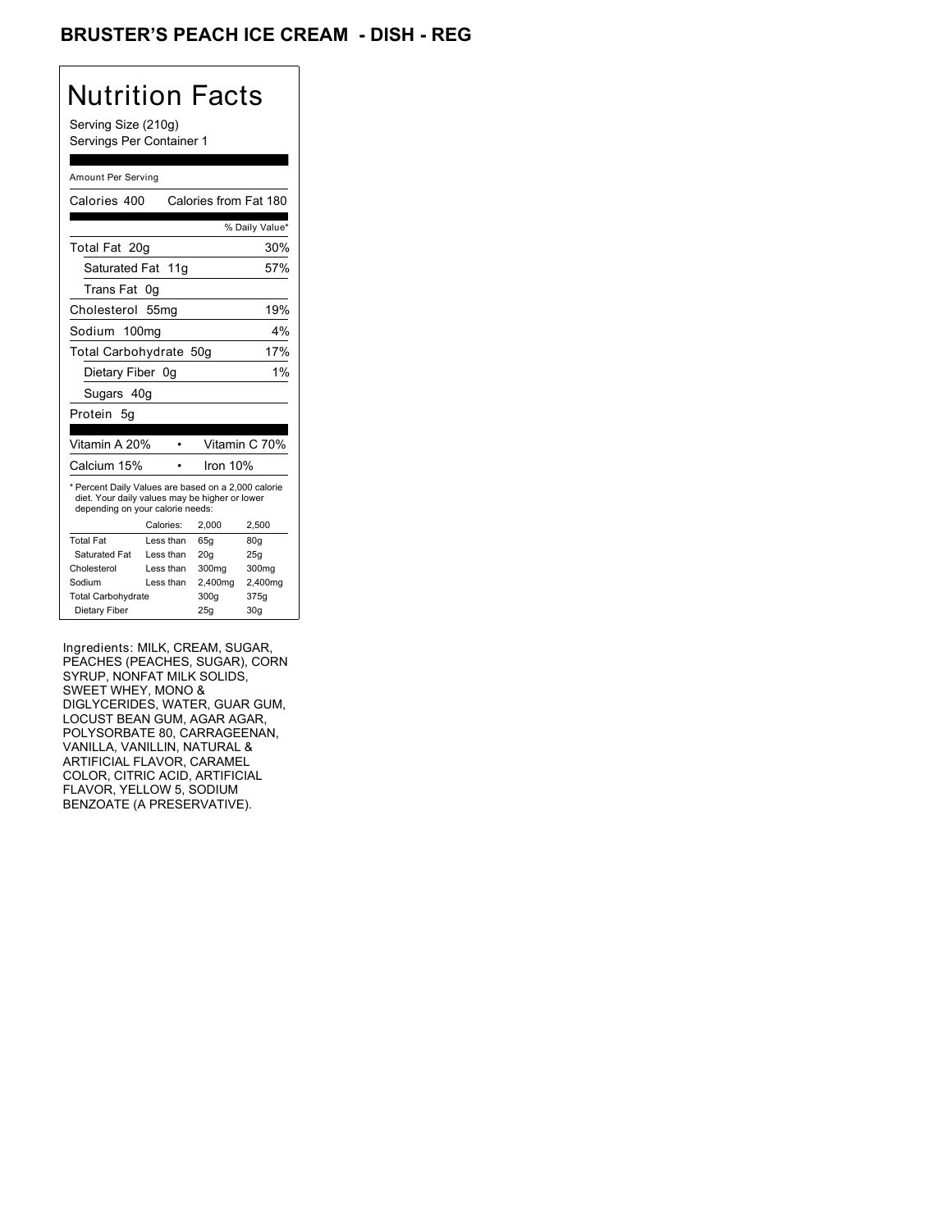### BRUSTER'S PEACH ICE CREAM - DISH - REG

## Nutrition Facts

Serving Size (210g) Servings Per Container 1

#### Amount Per Serving

| Calories 400                                                                                                                              |                  | Calories from Fat 180 |                |
|-------------------------------------------------------------------------------------------------------------------------------------------|------------------|-----------------------|----------------|
|                                                                                                                                           |                  |                       | % Daily Value* |
| Total Fat 20g                                                                                                                             |                  |                       | 30%            |
| Saturated Fat 11g                                                                                                                         |                  |                       | 57%            |
| Trans Fat                                                                                                                                 | 0g               |                       |                |
| Cholesterol                                                                                                                               | 55 <sub>mg</sub> |                       | 19%            |
| Sodium 100mg                                                                                                                              |                  |                       | 4%             |
| Total Carbohydrate 50g                                                                                                                    |                  |                       | 17%            |
| Dietary Fiber 0g                                                                                                                          |                  |                       | $1\%$          |
| Sugars 40g                                                                                                                                |                  |                       |                |
| Protein 5q                                                                                                                                |                  |                       |                |
|                                                                                                                                           |                  |                       |                |
| Vitamin A 20%                                                                                                                             |                  |                       | Vitamin C 70%  |
| Calcium 15%                                                                                                                               |                  | Iron $10%$            |                |
| * Percent Daily Values are based on a 2,000 calorie<br>diet. Your daily values may be higher or lower<br>depending on your calorie needs: |                  |                       |                |
|                                                                                                                                           | Calories:        | 2.000                 | 2.500          |
| <b>Total Fat</b>                                                                                                                          | Less than        | 65q                   | 80q            |
| Saturated Fat                                                                                                                             | Less than        | 20q                   | 25g            |
| Cholesterol                                                                                                                               | Less than        | 300mg                 | 300mg          |
| Sodium                                                                                                                                    | Less than        | 2,400mg               | 2,400mg        |
|                                                                                                                                           |                  |                       |                |
| <b>Total Carbohydrate</b>                                                                                                                 |                  | 300g                  | 375g           |

Ingredients: MILK, CREAM, SUGAR, PEACHES (PEACHES, SUGAR), CORN SYRUP, NONFAT MILK SOLIDS, SWEET WHEY, MONO & DIGLYCERIDES, WATER, GUAR GUM, LOCUST BEAN GUM, AGAR AGAR, POLYSORBATE 80, CARRAGEENAN, VANILLA, VANILLIN, NATURAL & ARTIFICIAL FLAVOR, CARAMEL COLOR, CITRIC ACID, ARTIFICIAL FLAVOR, YELLOW 5, SODIUM BENZOATE (A PRESERVATIVE).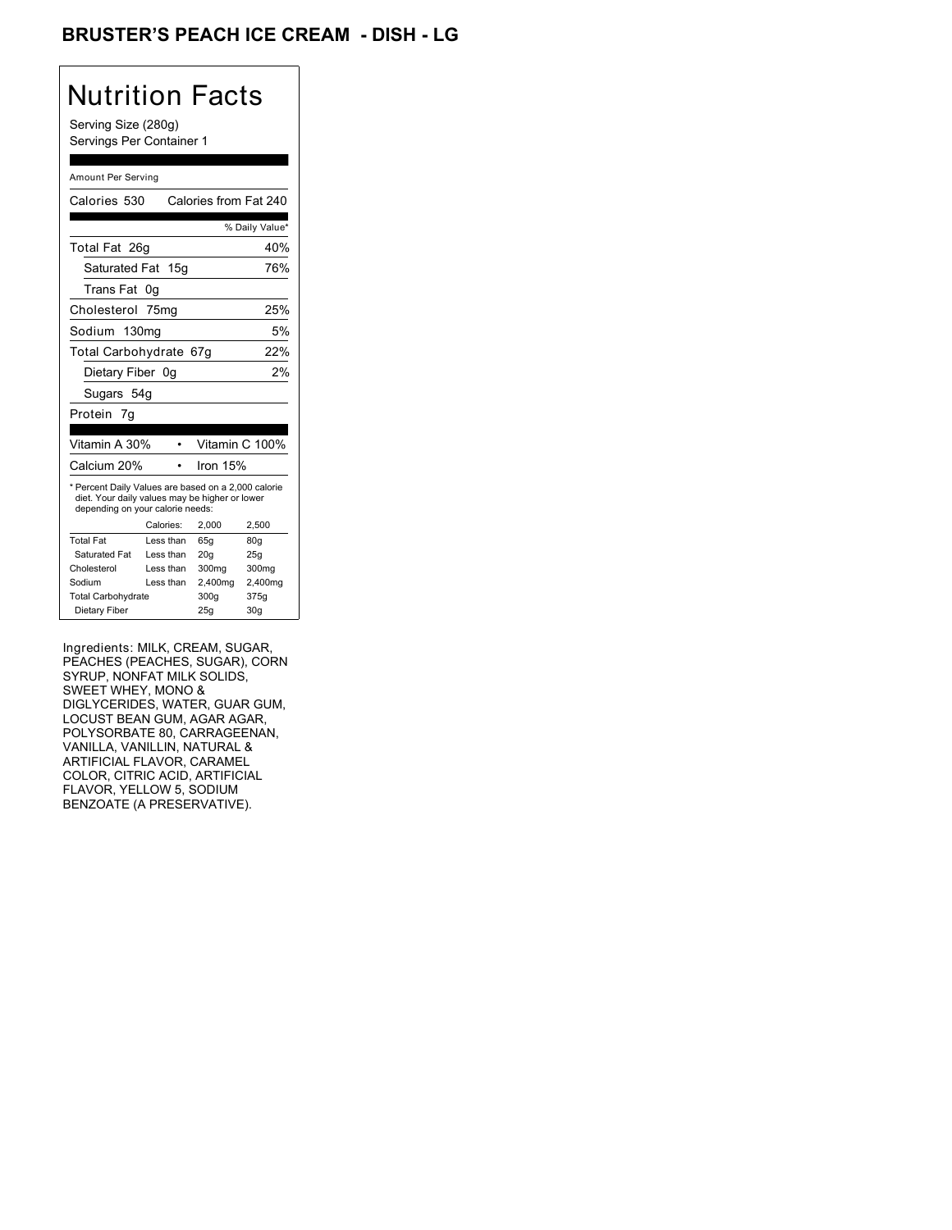### BRUSTER'S PEACH ICE CREAM - DISH - LG

## Nutrition Facts

Serving Size (280g) Servings Per Container 1

#### Amount Per Serving

| Calories 530                                                                                                                              |                   | Calories from Fat 240 |                |
|-------------------------------------------------------------------------------------------------------------------------------------------|-------------------|-----------------------|----------------|
|                                                                                                                                           |                   |                       | % Daily Value* |
| Total Fat 26g                                                                                                                             |                   |                       | 40%            |
| Saturated Fat 15g                                                                                                                         |                   |                       | 76%            |
| Trans Fat                                                                                                                                 | 0g                |                       |                |
| Cholesterol 75mg                                                                                                                          |                   |                       | 25%            |
| Sodium                                                                                                                                    | 130 <sub>mq</sub> |                       | 5%             |
| Total Carbohydrate 67g                                                                                                                    |                   |                       | 22%            |
| Dietary Fiber 0g                                                                                                                          |                   |                       | 2%             |
| Sugars 54g                                                                                                                                |                   |                       |                |
| Protein 7q                                                                                                                                |                   |                       |                |
|                                                                                                                                           |                   |                       |                |
| Vitamin A 30%                                                                                                                             |                   |                       | Vitamin C 100% |
| Calcium 20%                                                                                                                               |                   | Iron 15%              |                |
| * Percent Daily Values are based on a 2,000 calorie<br>diet. Your daily values may be higher or lower<br>depending on your calorie needs: |                   |                       |                |
|                                                                                                                                           | Calories:         | 2.000                 | 2,500          |
| <b>Total Fat</b>                                                                                                                          | Less than         | 65q                   | 80q            |
| Saturated Fat                                                                                                                             | Less than         | 20q                   | 25q            |
| Cholesterol                                                                                                                               | Less than         | 300mg                 | 300mg          |
| Sodium                                                                                                                                    | Less than         | 2,400mg               | 2,400mg        |
| <b>Total Carbohydrate</b>                                                                                                                 |                   | 300g                  | 375g           |
| Dietary Fiber                                                                                                                             |                   | 25q                   | 30q            |

Ingredients: MILK, CREAM, SUGAR, PEACHES (PEACHES, SUGAR), CORN SYRUP, NONFAT MILK SOLIDS, SWEET WHEY, MONO & DIGLYCERIDES, WATER, GUAR GUM, LOCUST BEAN GUM, AGAR AGAR, POLYSORBATE 80, CARRAGEENAN, VANILLA, VANILLIN, NATURAL & ARTIFICIAL FLAVOR, CARAMEL COLOR, CITRIC ACID, ARTIFICIAL FLAVOR, YELLOW 5, SODIUM BENZOATE (A PRESERVATIVE).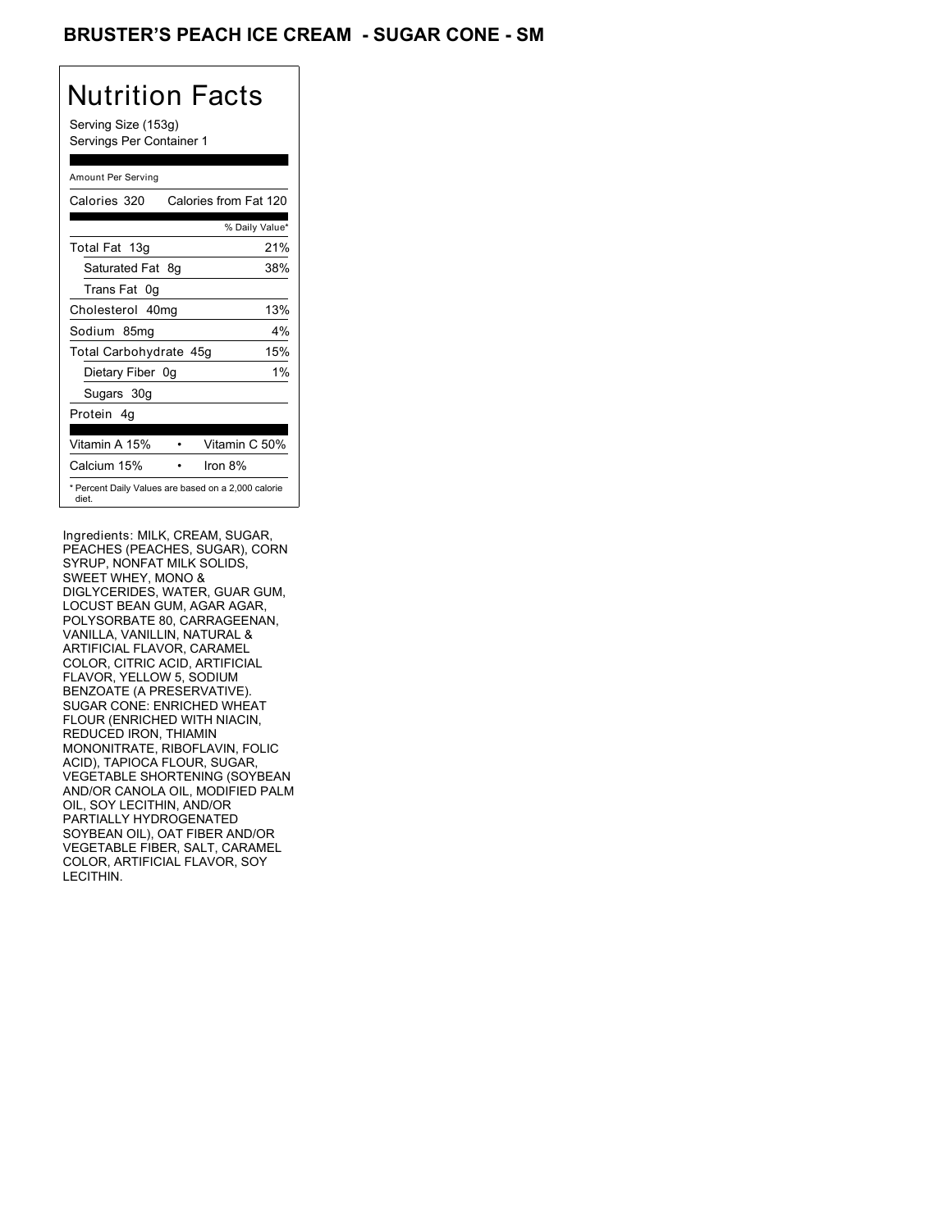### BRUSTER'S PEACH ICE CREAM - SUGAR CONE - SM

# Nutrition Facts

Serving Size (153g) Servings Per Container 1

#### Amount Per Serving

| Calories 320           | Calories from Fat 120                               |
|------------------------|-----------------------------------------------------|
|                        | % Daily Value*                                      |
| Total Fat 13g          | 21%                                                 |
| Saturated Fat 8g       | 38%                                                 |
| Trans Fat 0q           |                                                     |
| Cholesterol 40mg       | 13%                                                 |
| Sodium 85mg            | 4%                                                  |
| Total Carbohydrate 45g | 15%                                                 |
| Dietary Fiber 0g       | $1\%$                                               |
| Sugars 30g             |                                                     |
| Protein 4q             |                                                     |
| Vitamin A 15%          | Vitamin C 50%                                       |
| Calcium 15%            | Iron $8%$                                           |
| diet.                  | * Percent Daily Values are based on a 2,000 calorie |

Ingredients: MILK, CREAM, SUGAR, PEACHES (PEACHES, SUGAR), CORN SYRUP, NONFAT MILK SOLIDS, SWEET WHEY, MONO & DIGLYCERIDES, WATER, GUAR GUM, LOCUST BEAN GUM, AGAR AGAR, POLYSORBATE 80, CARRAGEENAN, VANILLA, VANILLIN, NATURAL & ARTIFICIAL FLAVOR, CARAMEL COLOR, CITRIC ACID, ARTIFICIAL FLAVOR, YELLOW 5, SODIUM BENZOATE (A PRESERVATIVE). SUGAR CONE: ENRICHED WHEAT FLOUR (ENRICHED WITH NIACIN, REDUCED IRON, THIAMIN MONONITRATE, RIBOFLAVIN, FOLIC ACID), TAPIOCA FLOUR, SUGAR, VEGETABLE SHORTENING (SOYBEAN AND/OR CANOLA OIL, MODIFIED PALM OIL, SOY LECITHIN, AND/OR PARTIALLY HYDROGENATED SOYBEAN OIL), OAT FIBER AND/OR VEGETABLE FIBER, SALT, CARAMEL COLOR, ARTIFICIAL FLAVOR, SOY LECITHIN.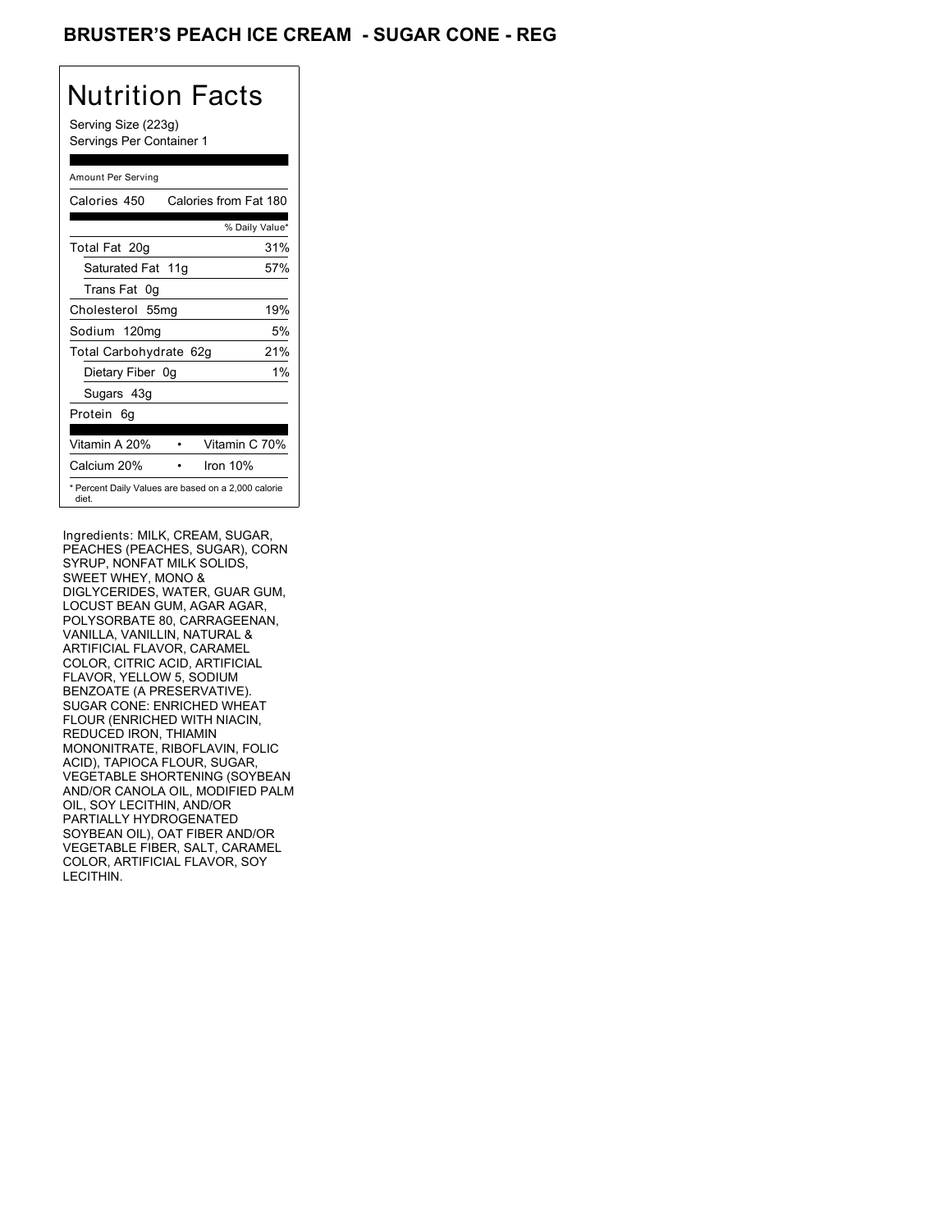### BRUSTER'S PEACH ICE CREAM - SUGAR CONE - REG

## Nutrition Facts

Serving Size (223g) Servings Per Container 1

#### Amount Per Serving

| Calories 450                                                 | Calories from Fat 180 |       |
|--------------------------------------------------------------|-----------------------|-------|
|                                                              | % Daily Value*        |       |
| Total Fat 20g                                                |                       | 31%   |
| Saturated Fat 11g                                            |                       | 57%   |
| Trans Fat 0q                                                 |                       |       |
| Cholesterol 55mg                                             |                       | 19%   |
| Sodium 120mg                                                 |                       | 5%    |
| Total Carbohydrate 62g                                       |                       | 21%   |
| Dietary Fiber 0g                                             |                       | $1\%$ |
| Sugars 43g                                                   |                       |       |
| Protein 6q                                                   |                       |       |
| Vitamin A 20%                                                | Vitamin C 70%         |       |
| Calcium 20%                                                  | Iron 10%              |       |
| * Percent Daily Values are based on a 2,000 calorie<br>diet. |                       |       |

Ingredients: MILK, CREAM, SUGAR, PEACHES (PEACHES, SUGAR), CORN SYRUP, NONFAT MILK SOLIDS, SWEET WHEY, MONO & DIGLYCERIDES, WATER, GUAR GUM, LOCUST BEAN GUM, AGAR AGAR, POLYSORBATE 80, CARRAGEENAN, VANILLA, VANILLIN, NATURAL & ARTIFICIAL FLAVOR, CARAMEL COLOR, CITRIC ACID, ARTIFICIAL FLAVOR, YELLOW 5, SODIUM BENZOATE (A PRESERVATIVE). SUGAR CONE: ENRICHED WHEAT FLOUR (ENRICHED WITH NIACIN, REDUCED IRON, THIAMIN MONONITRATE, RIBOFLAVIN, FOLIC ACID), TAPIOCA FLOUR, SUGAR, VEGETABLE SHORTENING (SOYBEAN AND/OR CANOLA OIL, MODIFIED PALM OIL, SOY LECITHIN, AND/OR PARTIALLY HYDROGENATED SOYBEAN OIL), OAT FIBER AND/OR VEGETABLE FIBER, SALT, CARAMEL COLOR, ARTIFICIAL FLAVOR, SOY LECITHIN.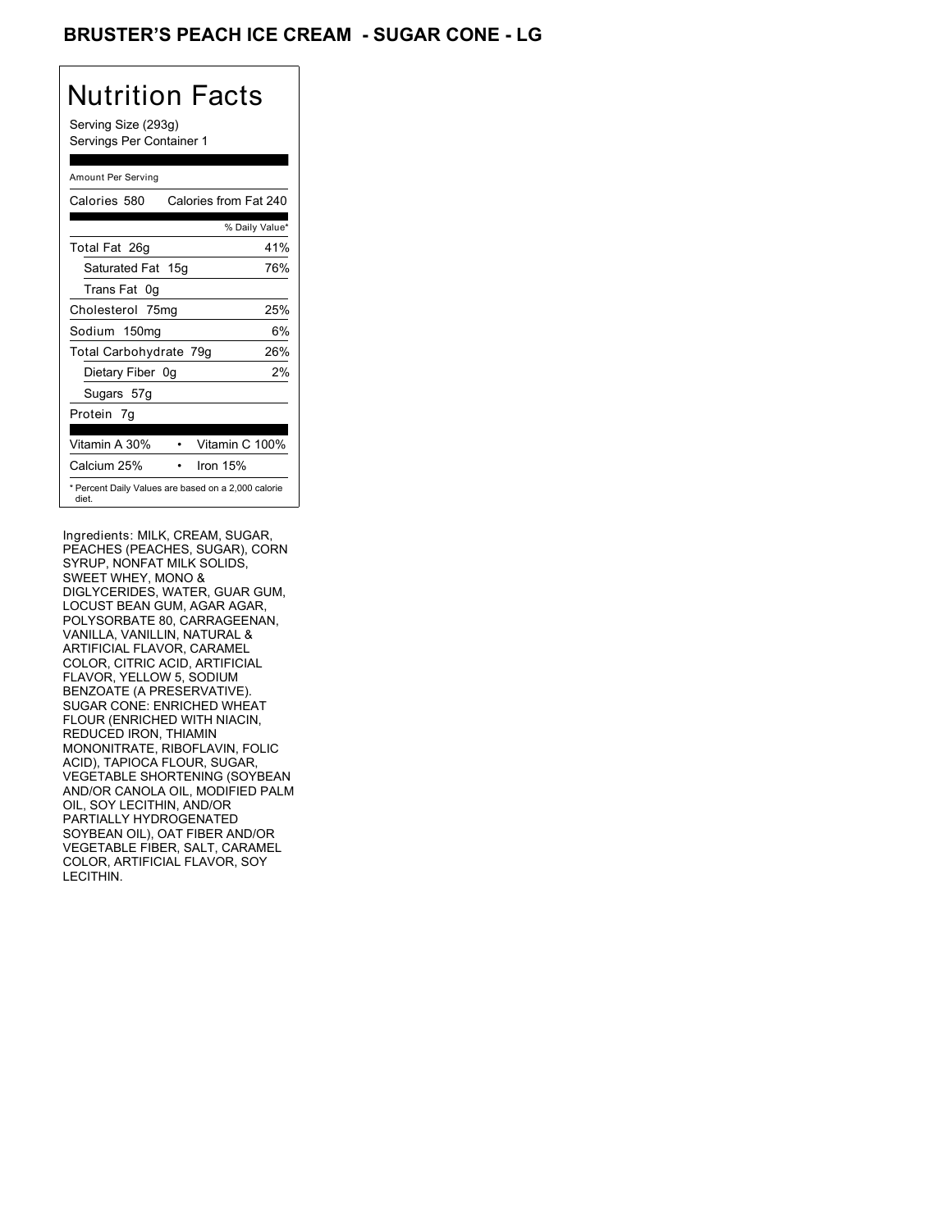### BRUSTER'S PEACH ICE CREAM - SUGAR CONE - LG

# Nutrition Facts

Serving Size (293g) Servings Per Container 1

#### Amount Per Serving

| Calories 580           | Calories from Fat 240                               |
|------------------------|-----------------------------------------------------|
|                        | % Daily Value*                                      |
| Total Fat 26g          | 41%                                                 |
| Saturated Fat 15g      | 76%                                                 |
| Trans Fat 0q           |                                                     |
| Cholesterol 75mg       | 25%                                                 |
| Sodium 150mg           | 6%                                                  |
| Total Carbohydrate 79g | 26%                                                 |
| Dietary Fiber 0g       | 2%                                                  |
| Sugars 57g             |                                                     |
| Protein 7g             |                                                     |
|                        |                                                     |
| Vitamin A 30%          | Vitamin C 100%                                      |
| Calcium 25%            | Iron 15%                                            |
| diet.                  | * Percent Daily Values are based on a 2,000 calorie |

Ingredients: MILK, CREAM, SUGAR, PEACHES (PEACHES, SUGAR), CORN SYRUP, NONFAT MILK SOLIDS, SWEET WHEY, MONO & DIGLYCERIDES, WATER, GUAR GUM, LOCUST BEAN GUM, AGAR AGAR, POLYSORBATE 80, CARRAGEENAN, VANILLA, VANILLIN, NATURAL & ARTIFICIAL FLAVOR, CARAMEL COLOR, CITRIC ACID, ARTIFICIAL FLAVOR, YELLOW 5, SODIUM BENZOATE (A PRESERVATIVE). SUGAR CONE: ENRICHED WHEAT FLOUR (ENRICHED WITH NIACIN, REDUCED IRON, THIAMIN MONONITRATE, RIBOFLAVIN, FOLIC ACID), TAPIOCA FLOUR, SUGAR, VEGETABLE SHORTENING (SOYBEAN AND/OR CANOLA OIL, MODIFIED PALM OIL, SOY LECITHIN, AND/OR PARTIALLY HYDROGENATED SOYBEAN OIL), OAT FIBER AND/OR VEGETABLE FIBER, SALT, CARAMEL COLOR, ARTIFICIAL FLAVOR, SOY LECITHIN.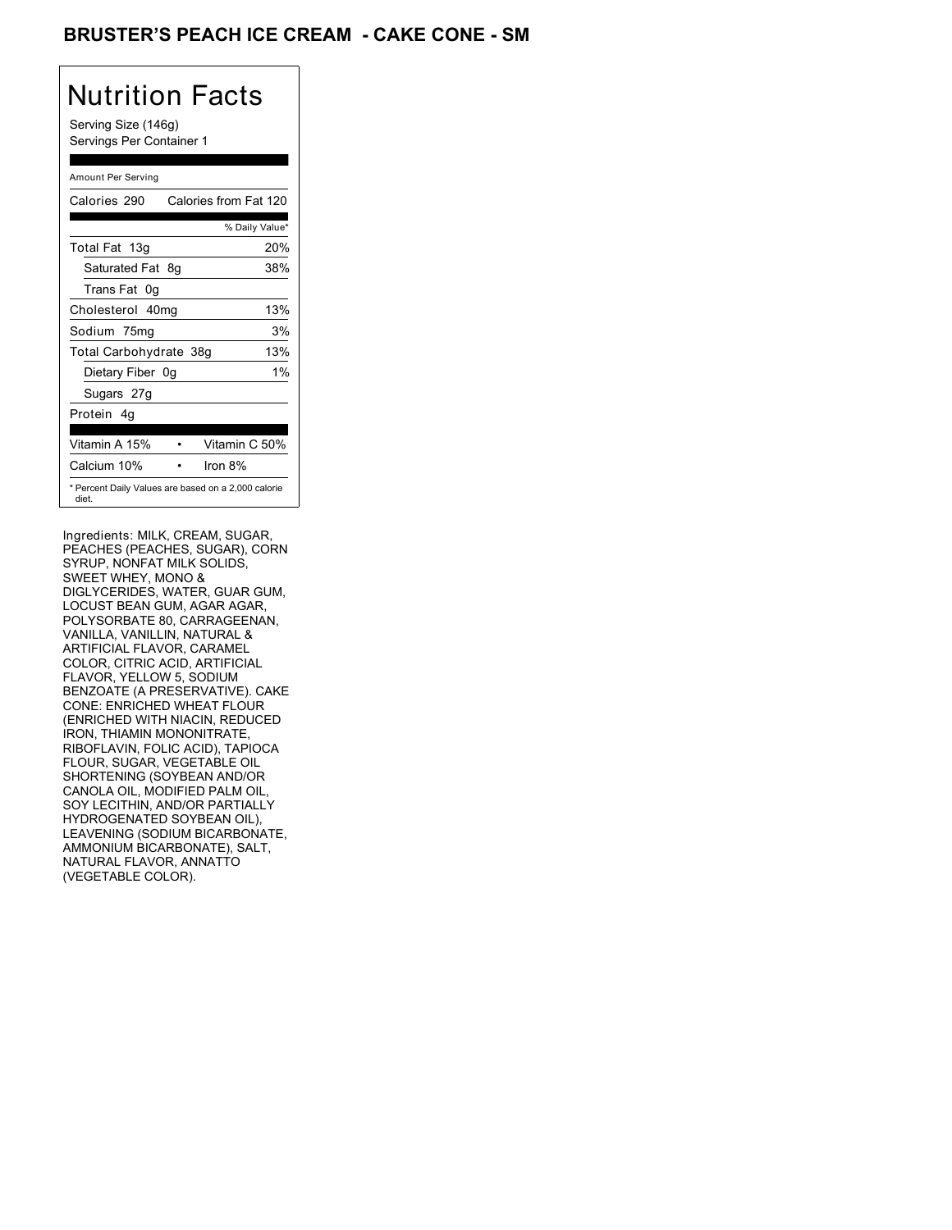### BRUSTER'S PEACH ICE CREAM **- CAKE CONE - SM**

# Nutrition Facts

Serving Size (146g) Servings Per Container 1

#### Amount Per Serving

| Calories 290           |    | Calories from Fat 120                               |
|------------------------|----|-----------------------------------------------------|
|                        |    | % Daily Value*                                      |
| Total Fat 13g          |    | 20%                                                 |
| Saturated Fat 8g       |    | 38%                                                 |
| Trans Fat 0g           |    |                                                     |
| Cholesterol 40mg       |    | 13%                                                 |
| Sodium 75mg            |    | 3%                                                  |
| Total Carbohydrate 38g |    | 13%                                                 |
| Dietary Fiber          | 0a | $1\%$                                               |
| Sugars 27g             |    |                                                     |
| Protein 4q             |    |                                                     |
| Vitamin A 15%          |    | Vitamin C 50%                                       |
| Calcium 10%            |    | Iron $8\%$                                          |
| diet.                  |    | * Percent Daily Values are based on a 2,000 calorie |

Ingredients: MILK, CREAM, SUGAR, PEACHES (PEACHES, SUGAR), CORN SYRUP, NONFAT MILK SOLIDS, SWEET WHEY, MONO & DIGLYCERIDES, WATER, GUAR GUM, LOCUST BEAN GUM, AGAR AGAR, POLYSORBATE 80, CARRAGEENAN, VANILLA, VANILLIN, NATURAL & ARTIFICIAL FLAVOR, CARAMEL COLOR, CITRIC ACID, ARTIFICIAL FLAVOR, YELLOW 5, SODIUM BENZOATE (A PRESERVATIVE). CAKE CONE: ENRICHED WHEAT FLOUR (ENRICHED WITH NIACIN, REDUCED IRON, THIAMIN MONONITRATE, RIBOFLAVIN, FOLIC ACID), TAPIOCA FLOUR, SUGAR, VEGETABLE OIL SHORTENING (SOYBEAN AND/OR CANOLA OIL, MODIFIED PALM OIL, SOY LECITHIN, AND/OR PARTIALLY HYDROGENATED SOYBEAN OIL), LEAVENING (SODIUM BICARBONATE, AMMONIUM BICARBONATE), SALT, NATURAL FLAVOR, ANNATTO (VEGETABLE COLOR).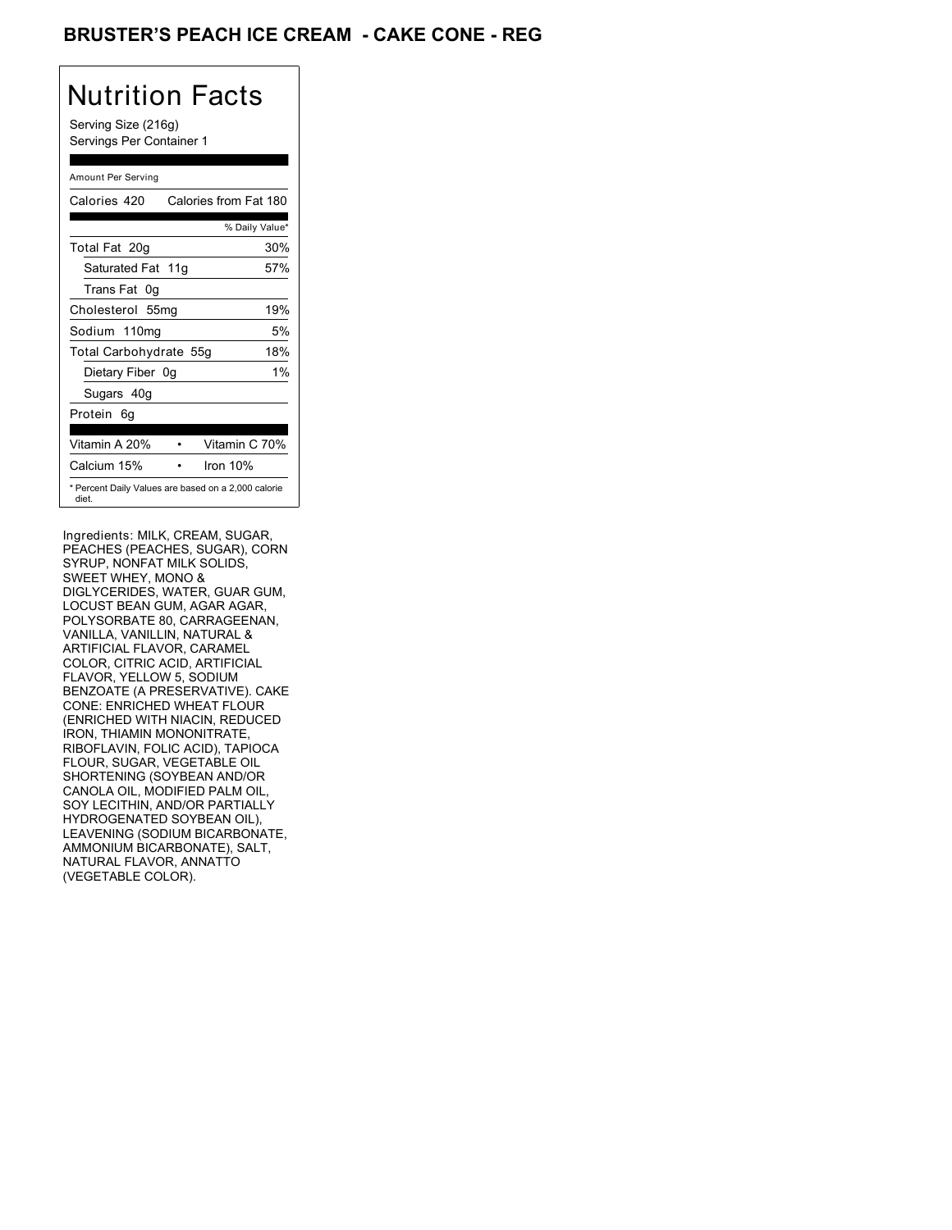### BRUSTER'S PEACH ICE CREAM **- CAKE CONE - REG**

# Nutrition Facts

Serving Size (216g) Servings Per Container 1

#### Amount Per Serving

| Calories 420                                                 | Calories from Fat 180 |       |
|--------------------------------------------------------------|-----------------------|-------|
|                                                              | % Daily Value*        |       |
| Total Fat 20g                                                |                       | 30%   |
| Saturated Fat 11g                                            |                       | 57%   |
| Trans Fat 0q                                                 |                       |       |
| Cholesterol 55mg                                             |                       | 19%   |
| Sodium 110mg                                                 |                       | 5%    |
| Total Carbohydrate 55g                                       |                       | 18%   |
| Dietary Fiber 0g                                             |                       | $1\%$ |
| Sugars 40g                                                   |                       |       |
| Protein 6q                                                   |                       |       |
| Vitamin A 20%                                                | Vitamin C 70%         |       |
| Calcium 15%                                                  | Iron 10%              |       |
| * Percent Daily Values are based on a 2,000 calorie<br>diet. |                       |       |

Ingredients: MILK, CREAM, SUGAR, PEACHES (PEACHES, SUGAR), CORN SYRUP, NONFAT MILK SOLIDS, SWEET WHEY, MONO & DIGLYCERIDES, WATER, GUAR GUM, LOCUST BEAN GUM, AGAR AGAR, POLYSORBATE 80, CARRAGEENAN, VANILLA, VANILLIN, NATURAL & ARTIFICIAL FLAVOR, CARAMEL COLOR, CITRIC ACID, ARTIFICIAL FLAVOR, YELLOW 5, SODIUM BENZOATE (A PRESERVATIVE). CAKE CONE: ENRICHED WHEAT FLOUR (ENRICHED WITH NIACIN, REDUCED IRON, THIAMIN MONONITRATE, RIBOFLAVIN, FOLIC ACID), TAPIOCA FLOUR, SUGAR, VEGETABLE OIL SHORTENING (SOYBEAN AND/OR CANOLA OIL, MODIFIED PALM OIL, SOY LECITHIN, AND/OR PARTIALLY HYDROGENATED SOYBEAN OIL), LEAVENING (SODIUM BICARBONATE, AMMONIUM BICARBONATE), SALT, NATURAL FLAVOR, ANNATTO (VEGETABLE COLOR).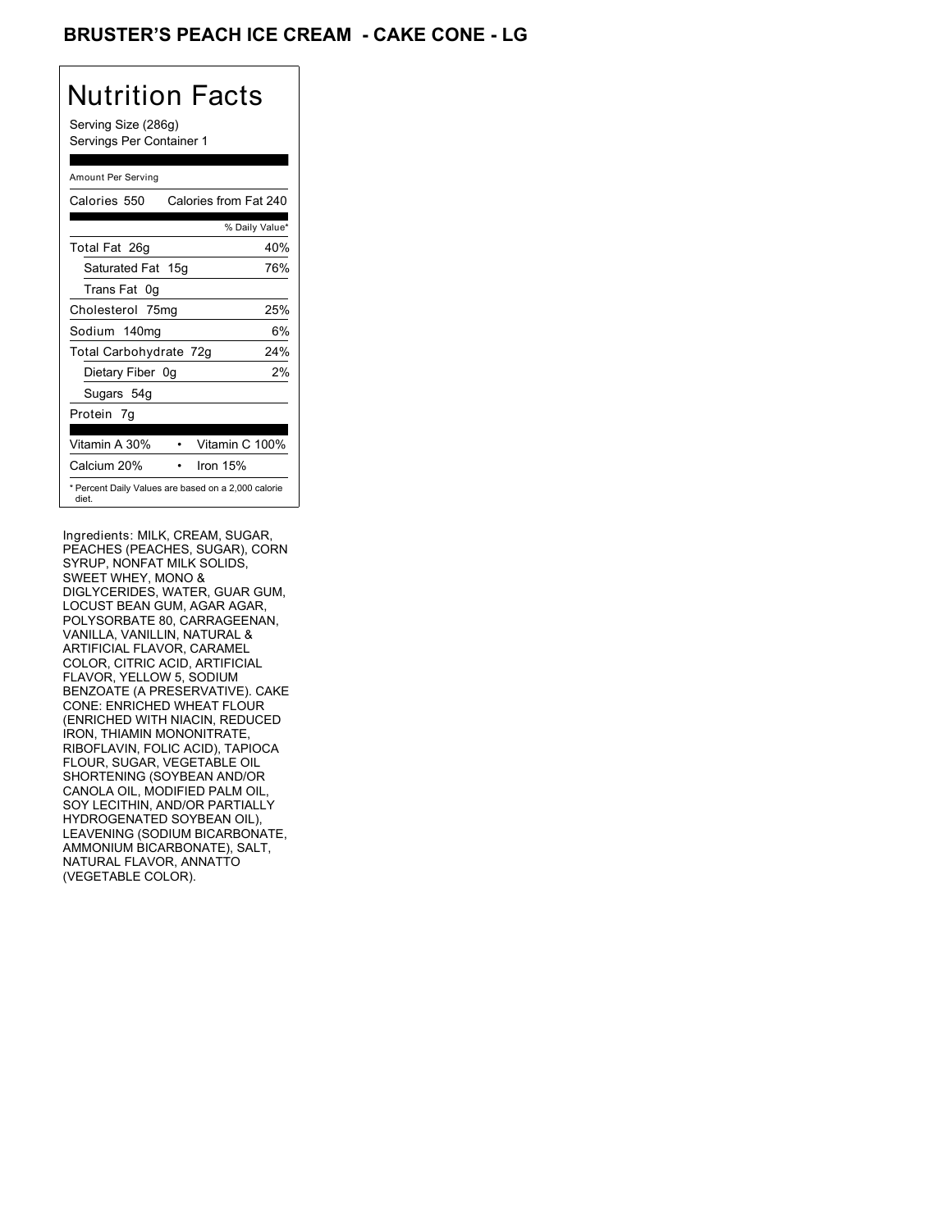### BRUSTER'S PEACH ICE CREAM - CAKE CONE - LG

# Nutrition Facts

Serving Size (286g) Servings Per Container 1

#### Amount Per Serving

| Calories 550           | Calories from Fat 240                               |
|------------------------|-----------------------------------------------------|
|                        | % Daily Value*                                      |
| Total Fat 26g          | 40%                                                 |
| Saturated Fat 15g      | 76%                                                 |
| Trans Fat 0g           |                                                     |
| Cholesterol 75mg       | 25%                                                 |
| Sodium 140mg           | 6%                                                  |
| Total Carbohydrate 72g | 24%                                                 |
| Dietary Fiber 0g       | 2%                                                  |
| Sugars 54g             |                                                     |
| Protein 7q             |                                                     |
| Vitamin A 30%          | Vitamin C 100%                                      |
| Calcium 20%            | Iron 15%                                            |
| diet.                  | * Percent Daily Values are based on a 2,000 calorie |

Ingredients: MILK, CREAM, SUGAR, PEACHES (PEACHES, SUGAR), CORN SYRUP, NONFAT MILK SOLIDS, SWEET WHEY, MONO & DIGLYCERIDES, WATER, GUAR GUM, LOCUST BEAN GUM, AGAR AGAR, POLYSORBATE 80, CARRAGEENAN, VANILLA, VANILLIN, NATURAL & ARTIFICIAL FLAVOR, CARAMEL COLOR, CITRIC ACID, ARTIFICIAL FLAVOR, YELLOW 5, SODIUM BENZOATE (A PRESERVATIVE). CAKE CONE: ENRICHED WHEAT FLOUR (ENRICHED WITH NIACIN, REDUCED IRON, THIAMIN MONONITRATE, RIBOFLAVIN, FOLIC ACID), TAPIOCA FLOUR, SUGAR, VEGETABLE OIL SHORTENING (SOYBEAN AND/OR CANOLA OIL, MODIFIED PALM OIL, SOY LECITHIN, AND/OR PARTIALLY HYDROGENATED SOYBEAN OIL), LEAVENING (SODIUM BICARBONATE, AMMONIUM BICARBONATE), SALT, NATURAL FLAVOR, ANNATTO (VEGETABLE COLOR).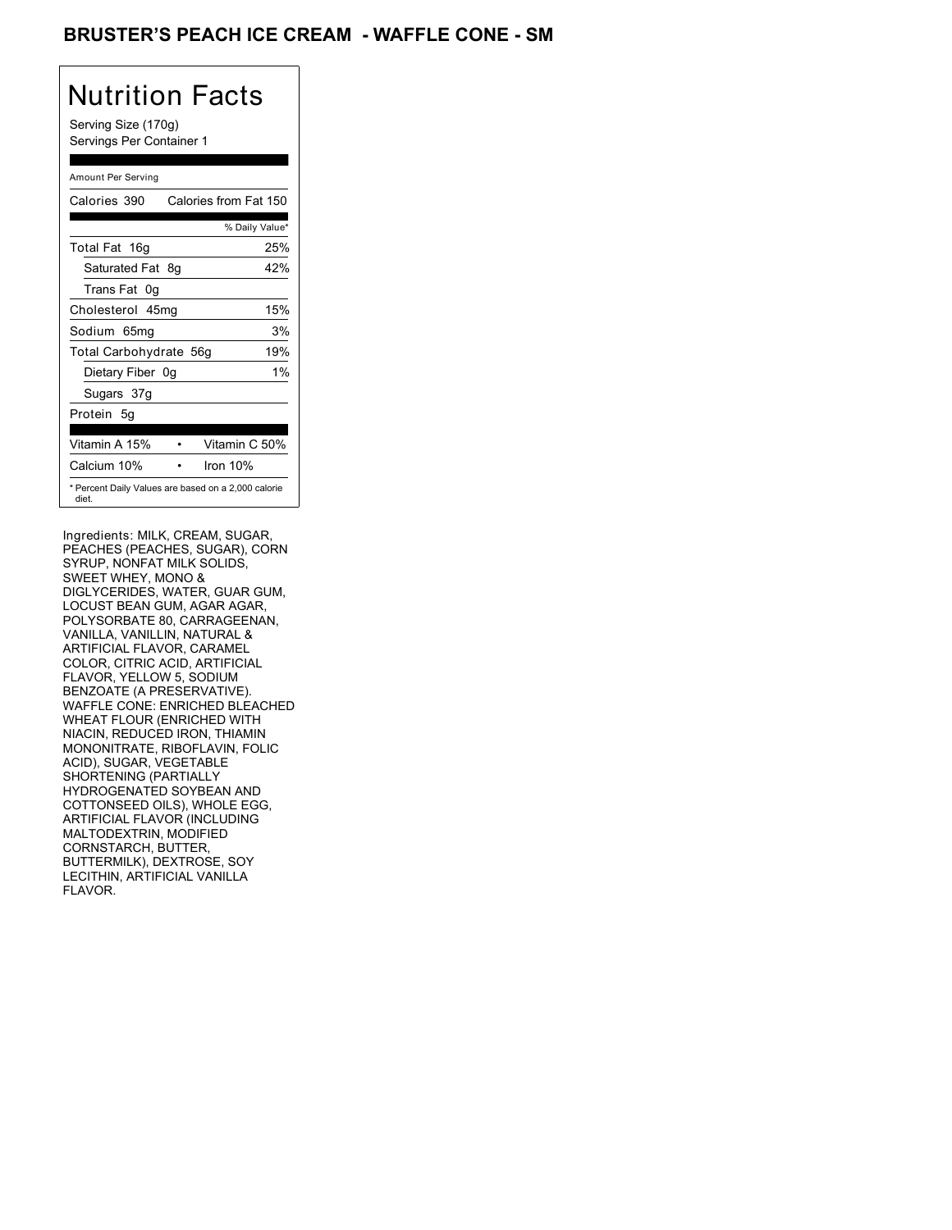### BRUSTER'S PEACH ICE CREAM - WAFFLE CONE - SM

## Nutrition Facts

Serving Size (170g) Servings Per Container 1

#### Amount Per Serving

| Calories 390                                                 | Calories from Fat 150 |                |
|--------------------------------------------------------------|-----------------------|----------------|
|                                                              |                       | % Daily Value* |
| Total Fat 16g                                                |                       | 25%            |
| Saturated Fat 8q                                             |                       | 42%            |
| Trans Fat 0q                                                 |                       |                |
| Cholesterol 45mg                                             |                       | 15%            |
| Sodium 65mg                                                  |                       | 3%             |
| Total Carbohydrate 56g                                       |                       | 19%            |
| Dietary Fiber 0g                                             |                       | $1\%$          |
| Sugars 37g                                                   |                       |                |
| Protein 5q                                                   |                       |                |
| Vitamin A 15%                                                | Vitamin C 50%         |                |
| Calcium 10%                                                  | Iron $10%$            |                |
| * Percent Daily Values are based on a 2,000 calorie<br>diet. |                       |                |

Ingredients: MILK, CREAM, SUGAR, PEACHES (PEACHES, SUGAR), CORN SYRUP, NONFAT MILK SOLIDS, SWEET WHEY, MONO & DIGLYCERIDES, WATER, GUAR GUM, LOCUST BEAN GUM, AGAR AGAR, POLYSORBATE 80, CARRAGEENAN, VANILLA, VANILLIN, NATURAL & ARTIFICIAL FLAVOR, CARAMEL COLOR, CITRIC ACID, ARTIFICIAL FLAVOR, YELLOW 5, SODIUM BENZOATE (A PRESERVATIVE). WAFFLE CONE: ENRICHED BLEACHED WHEAT FLOUR (ENRICHED WITH NIACIN, REDUCED IRON, THIAMIN MONONITRATE, RIBOFLAVIN, FOLIC ACID), SUGAR, VEGETABLE SHORTENING (PARTIALLY HYDROGENATED SOYBEAN AND COTTONSEED OILS), WHOLE EGG, ARTIFICIAL FLAVOR (INCLUDING MALTODEXTRIN, MODIFIED CORNSTARCH, BUTTER, BUTTERMILK), DEXTROSE, SOY LECITHIN, ARTIFICIAL VANILLA FLAVOR.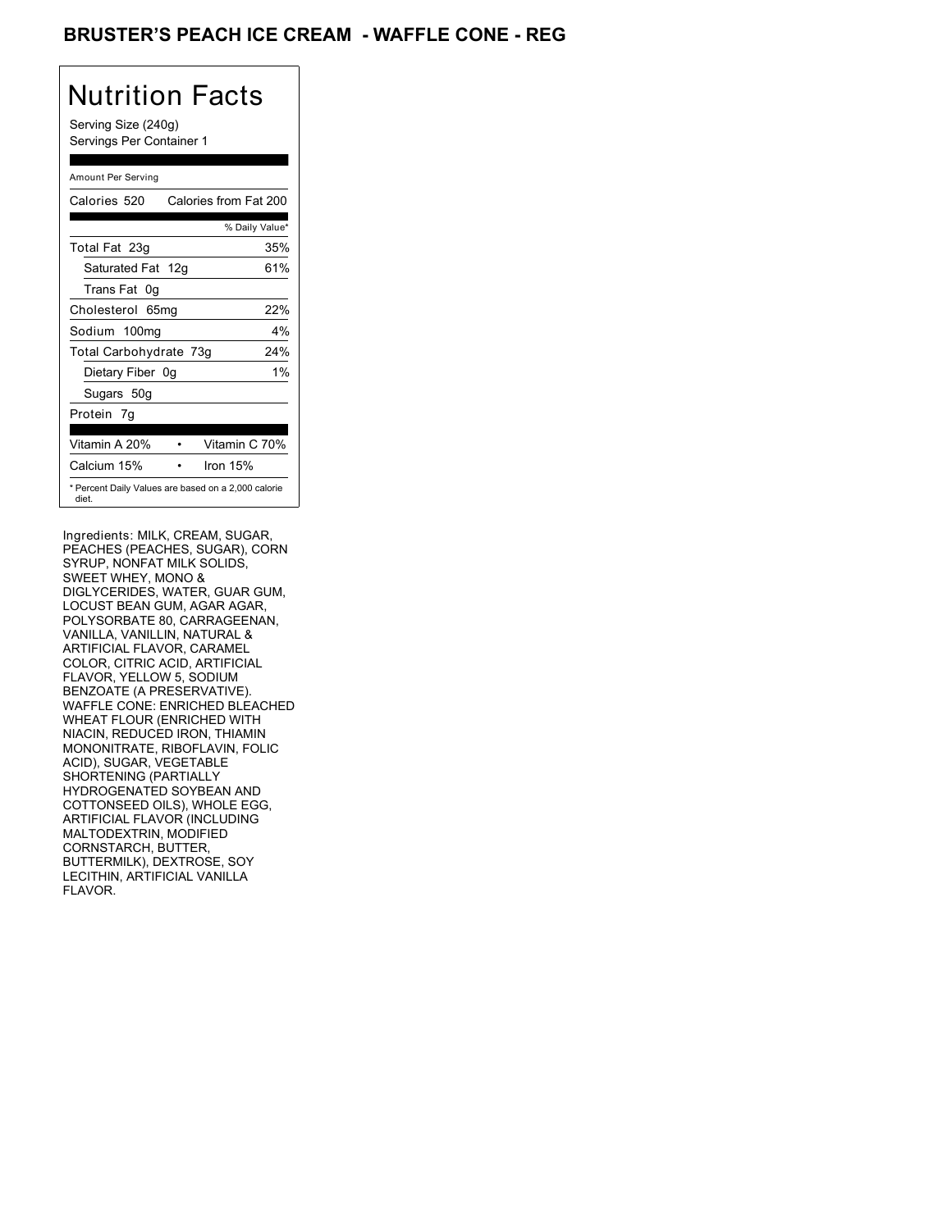### BRUSTER'S PEACH ICE CREAM - WAFFLE CONE - REG

## Nutrition Facts

Serving Size (240g) Servings Per Container 1

#### Amount Per Serving

| Calories 520           | Calories from Fat 200                               |
|------------------------|-----------------------------------------------------|
|                        | % Daily Value*                                      |
| Total Fat 23g          | 35%                                                 |
| Saturated Fat 12g      | 61%                                                 |
| Trans Fat 0q           |                                                     |
| Cholesterol 65mg       | 22%                                                 |
| Sodium 100mg           | $4\%$                                               |
| Total Carbohydrate 73g | 24%                                                 |
| Dietary Fiber 0g       | $1\%$                                               |
| Sugars 50g             |                                                     |
| Protein 7q             |                                                     |
| Vitamin A 20%          | Vitamin C 70%                                       |
| Calcium 15%            | Iron 15%                                            |
| diet.                  | * Percent Daily Values are based on a 2,000 calorie |

Ingredients: MILK, CREAM, SUGAR, PEACHES (PEACHES, SUGAR), CORN SYRUP, NONFAT MILK SOLIDS, SWEET WHEY, MONO & DIGLYCERIDES, WATER, GUAR GUM, LOCUST BEAN GUM, AGAR AGAR, POLYSORBATE 80, CARRAGEENAN, VANILLA, VANILLIN, NATURAL & ARTIFICIAL FLAVOR, CARAMEL COLOR, CITRIC ACID, ARTIFICIAL FLAVOR, YELLOW 5, SODIUM BENZOATE (A PRESERVATIVE). WAFFLE CONE: ENRICHED BLEACHED WHEAT FLOUR (ENRICHED WITH NIACIN, REDUCED IRON, THIAMIN MONONITRATE, RIBOFLAVIN, FOLIC ACID), SUGAR, VEGETABLE SHORTENING (PARTIALLY HYDROGENATED SOYBEAN AND COTTONSEED OILS), WHOLE EGG, ARTIFICIAL FLAVOR (INCLUDING MALTODEXTRIN, MODIFIED CORNSTARCH, BUTTER, BUTTERMILK), DEXTROSE, SOY LECITHIN, ARTIFICIAL VANILLA FLAVOR.